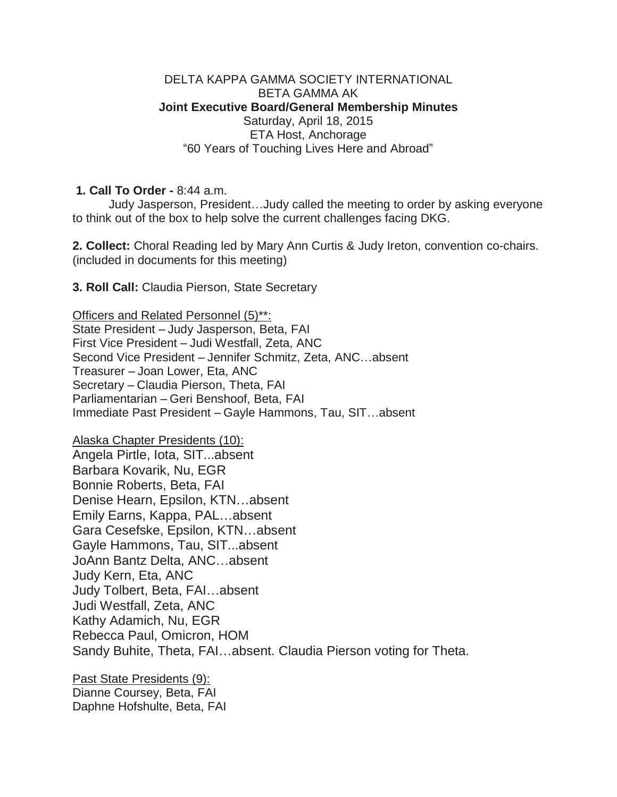## DELTA KAPPA GAMMA SOCIETY INTERNATIONAL BETA GAMMA AK **Joint Executive Board/General Membership Minutes** Saturday, April 18, 2015 ETA Host, Anchorage "60 Years of Touching Lives Here and Abroad"

**1. Call To Order -** 8:44 a.m.

Judy Jasperson, President…Judy called the meeting to order by asking everyone to think out of the box to help solve the current challenges facing DKG.

**2. Collect:** Choral Reading led by Mary Ann Curtis & Judy Ireton, convention co-chairs. (included in documents for this meeting)

**3. Roll Call:** Claudia Pierson, State Secretary

Officers and Related Personnel (5)\*\*: State President – Judy Jasperson, Beta, FAI First Vice President – Judi Westfall, Zeta, ANC Second Vice President – Jennifer Schmitz, Zeta, ANC…absent Treasurer – Joan Lower, Eta, ANC Secretary – Claudia Pierson, Theta, FAI Parliamentarian – Geri Benshoof, Beta, FAI Immediate Past President – Gayle Hammons, Tau, SIT…absent

Alaska Chapter Presidents (10): Angela Pirtle, Iota, SIT...absent Barbara Kovarik, Nu, EGR Bonnie Roberts, Beta, FAI Denise Hearn, Epsilon, KTN…absent Emily Earns, Kappa, PAL…absent Gara Cesefske, Epsilon, KTN…absent Gayle Hammons, Tau, SIT...absent JoAnn Bantz Delta, ANC…absent Judy Kern, Eta, ANC Judy Tolbert, Beta, FAI…absent Judi Westfall, Zeta, ANC Kathy Adamich, Nu, EGR Rebecca Paul, Omicron, HOM Sandy Buhite, Theta, FAI…absent. Claudia Pierson voting for Theta.

Past State Presidents (9): Dianne Coursey, Beta, FAI Daphne Hofshulte, Beta, FAI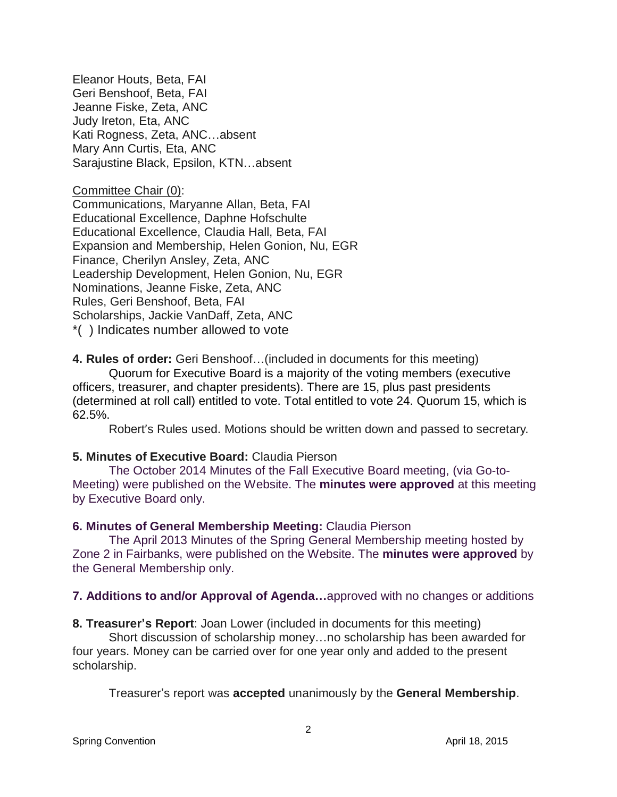Eleanor Houts, Beta, FAI Geri Benshoof, Beta, FAI Jeanne Fiske, Zeta, ANC Judy Ireton, Eta, ANC Kati Rogness, Zeta, ANC…absent Mary Ann Curtis, Eta, ANC Sarajustine Black, Epsilon, KTN…absent

Committee Chair (0):

Communications, Maryanne Allan, Beta, FAI Educational Excellence, Daphne Hofschulte Educational Excellence, Claudia Hall, Beta, FAI Expansion and Membership, Helen Gonion, Nu, EGR Finance, Cherilyn Ansley, Zeta, ANC Leadership Development, Helen Gonion, Nu, EGR Nominations, Jeanne Fiske, Zeta, ANC Rules, Geri Benshoof, Beta, FAI Scholarships, Jackie VanDaff, Zeta, ANC \*( ) Indicates number allowed to vote

**4. Rules of order:** Geri Benshoof…(included in documents for this meeting)

Quorum for Executive Board is a majority of the voting members (executive officers, treasurer, and chapter presidents). There are 15, plus past presidents (determined at roll call) entitled to vote. Total entitled to vote 24. Quorum 15, which is 62.5%.

Robert's Rules used. Motions should be written down and passed to secretary.

### **5. Minutes of Executive Board:** Claudia Pierson

The October 2014 Minutes of the Fall Executive Board meeting, (via Go-to-Meeting) were published on the Website. The **minutes were approved** at this meeting by Executive Board only.

### **6. Minutes of General Membership Meeting:** Claudia Pierson

The April 2013 Minutes of the Spring General Membership meeting hosted by Zone 2 in Fairbanks, were published on the Website. The **minutes were approved** by the General Membership only.

### **7. Additions to and/or Approval of Agenda…**approved with no changes or additions

**8. Treasurer's Report**: Joan Lower (included in documents for this meeting)

 Short discussion of scholarship money…no scholarship has been awarded for four years. Money can be carried over for one year only and added to the present scholarship.

Treasurer's report was **accepted** unanimously by the **General Membership**.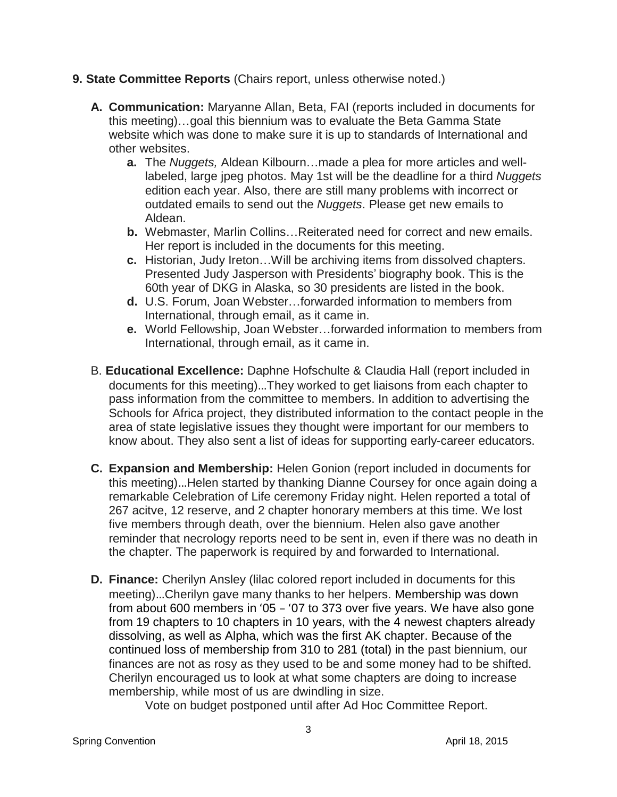- **9. State Committee Reports** (Chairs report, unless otherwise noted.)
	- **A. Communication:** Maryanne Allan, Beta, FAI (reports included in documents for this meeting)…goal this biennium was to evaluate the Beta Gamma State website which was done to make sure it is up to standards of International and other websites.
		- **a.** The *Nuggets,* Aldean Kilbourn…made a plea for more articles and welllabeled, large jpeg photos. May 1st will be the deadline for a third *Nuggets* edition each year. Also, there are still many problems with incorrect or outdated emails to send out the *Nuggets*. Please get new emails to Aldean.
		- **b.** Webmaster, Marlin Collins…Reiterated need for correct and new emails. Her report is included in the documents for this meeting.
		- **c.** Historian, Judy Ireton…Will be archiving items from dissolved chapters. Presented Judy Jasperson with Presidents' biography book. This is the 60th year of DKG in Alaska, so 30 presidents are listed in the book.
		- **d.** U.S. Forum, Joan Webster…forwarded information to members from International, through email, as it came in.
		- **e.** World Fellowship, Joan Webster…forwarded information to members from International, through email, as it came in.
	- B. **Educational Excellence:** Daphne Hofschulte & Claudia Hall (report included in documents for this meeting)…They worked to get liaisons from each chapter to pass information from the committee to members. In addition to advertising the Schools for Africa project, they distributed information to the contact people in the area of state legislative issues they thought were important for our members to know about. They also sent a list of ideas for supporting early-career educators.
	- **C. Expansion and Membership:** Helen Gonion (report included in documents for this meeting)…Helen started by thanking Dianne Coursey for once again doing a remarkable Celebration of Life ceremony Friday night. Helen reported a total of 267 acitve, 12 reserve, and 2 chapter honorary members at this time. We lost five members through death, over the biennium. Helen also gave another reminder that necrology reports need to be sent in, even if there was no death in the chapter. The paperwork is required by and forwarded to International.
	- **D. Finance:** Cherilyn Ansley (lilac colored report included in documents for this meeting)…Cherilyn gave many thanks to her helpers. Membership was down from about 600 members in '05 – '07 to 373 over five years. We have also gone from 19 chapters to 10 chapters in 10 years, with the 4 newest chapters already dissolving, as well as Alpha, which was the first AK chapter. Because of the continued loss of membership from 310 to 281 (total) in the past biennium, our finances are not as rosy as they used to be and some money had to be shifted. Cherilyn encouraged us to look at what some chapters are doing to increase membership, while most of us are dwindling in size.

Vote on budget postponed until after Ad Hoc Committee Report.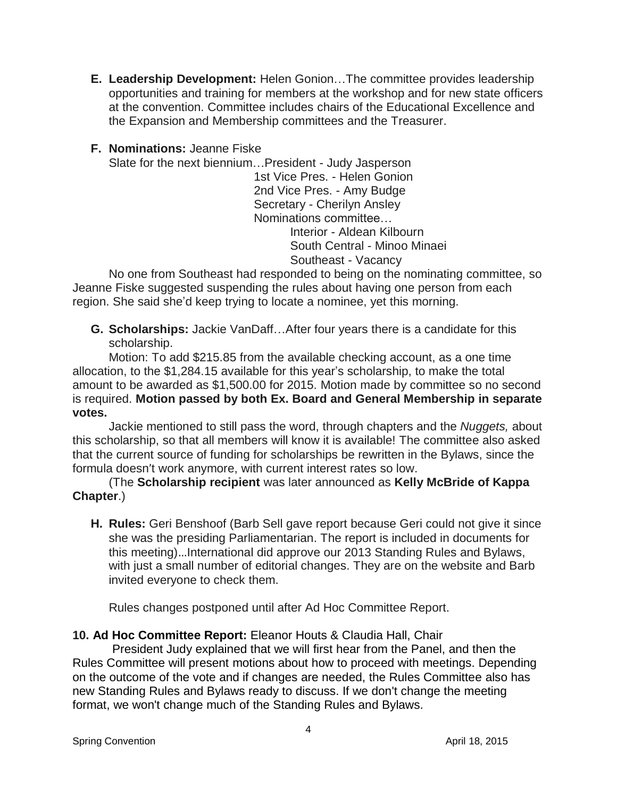- **E. Leadership Development:** Helen Gonion…The committee provides leadership opportunities and training for members at the workshop and for new state officers at the convention. Committee includes chairs of the Educational Excellence and the Expansion and Membership committees and the Treasurer.
- **F. Nominations:** Jeanne Fiske

Slate for the next biennium…President - Judy Jasperson 1st Vice Pres. - Helen Gonion 2nd Vice Pres. - Amy Budge Secretary - Cherilyn Ansley Nominations committee… Interior - Aldean Kilbourn South Central - Minoo Minaei Southeast - Vacancy

No one from Southeast had responded to being on the nominating committee, so Jeanne Fiske suggested suspending the rules about having one person from each region. She said she'd keep trying to locate a nominee, yet this morning.

**G. Scholarships:** Jackie VanDaff…After four years there is a candidate for this scholarship.

Motion: To add \$215.85 from the available checking account, as a one time allocation, to the \$1,284.15 available for this year's scholarship, to make the total amount to be awarded as \$1,500.00 for 2015. Motion made by committee so no second is required. **Motion passed by both Ex. Board and General Membership in separate votes.**

Jackie mentioned to still pass the word, through chapters and the *Nuggets,* about this scholarship, so that all members will know it is available! The committee also asked that the current source of funding for scholarships be rewritten in the Bylaws, since the formula doesn't work anymore, with current interest rates so low.

(The **Scholarship recipient** was later announced as **Kelly McBride of Kappa Chapter**.)

**H. Rules:** Geri Benshoof (Barb Sell gave report because Geri could not give it since she was the presiding Parliamentarian. The report is included in documents for this meeting)…International did approve our 2013 Standing Rules and Bylaws, with just a small number of editorial changes. They are on the website and Barb invited everyone to check them.

Rules changes postponed until after Ad Hoc Committee Report.

# **10. Ad Hoc Committee Report:** Eleanor Houts & Claudia Hall, Chair

President Judy explained that we will first hear from the Panel, and then the Rules Committee will present motions about how to proceed with meetings. Depending on the outcome of the vote and if changes are needed, the Rules Committee also has new Standing Rules and Bylaws ready to discuss. If we don't change the meeting format, we won't change much of the Standing Rules and Bylaws.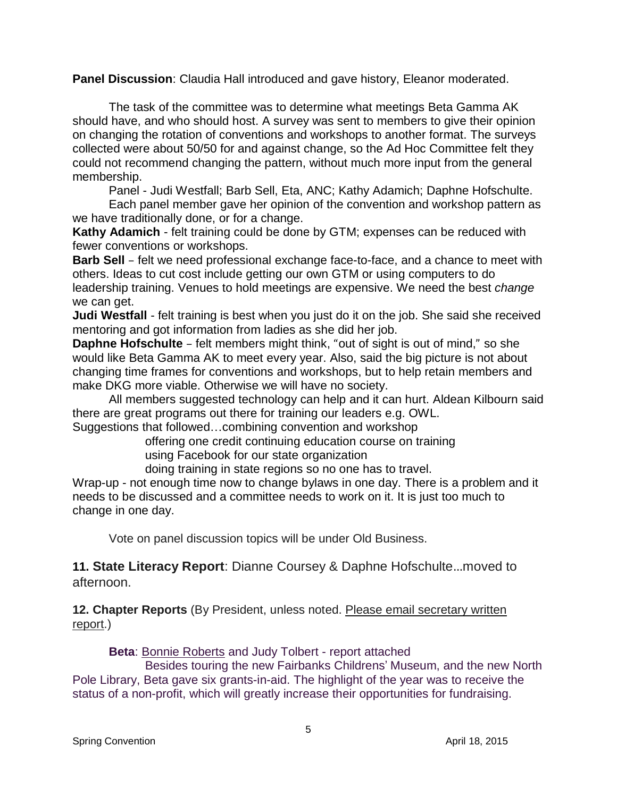**Panel Discussion**: Claudia Hall introduced and gave history, Eleanor moderated.

The task of the committee was to determine what meetings Beta Gamma AK should have, and who should host. A survey was sent to members to give their opinion on changing the rotation of conventions and workshops to another format. The surveys collected were about 50/50 for and against change, so the Ad Hoc Committee felt they could not recommend changing the pattern, without much more input from the general membership.

Panel - Judi Westfall; Barb Sell, Eta, ANC; Kathy Adamich; Daphne Hofschulte.

Each panel member gave her opinion of the convention and workshop pattern as we have traditionally done, or for a change.

**Kathy Adamich** - felt training could be done by GTM; expenses can be reduced with fewer conventions or workshops.

**Barb Sell** – felt we need professional exchange face-to-face, and a chance to meet with others. Ideas to cut cost include getting our own GTM or using computers to do leadership training. Venues to hold meetings are expensive. We need the best *change* we can get.

**Judi Westfall** - felt training is best when you just do it on the job. She said she received mentoring and got information from ladies as she did her job.

**Daphne Hofschulte** – felt members might think, "out of sight is out of mind," so she would like Beta Gamma AK to meet every year. Also, said the big picture is not about changing time frames for conventions and workshops, but to help retain members and make DKG more viable. Otherwise we will have no society.

All members suggested technology can help and it can hurt. Aldean Kilbourn said there are great programs out there for training our leaders e.g. OWL.

Suggestions that followed…combining convention and workshop

offering one credit continuing education course on training

using Facebook for our state organization

doing training in state regions so no one has to travel.

Wrap-up - not enough time now to change bylaws in one day. There is a problem and it needs to be discussed and a committee needs to work on it. It is just too much to change in one day.

Vote on panel discussion topics will be under Old Business.

**11. State Literacy Report**: Dianne Coursey & Daphne Hofschulte…moved to afternoon.

**12. Chapter Reports** (By President, unless noted. Please email secretary written report.)

**Beta**: Bonnie Roberts and Judy Tolbert - report attached

Besides touring the new Fairbanks Childrens' Museum, and the new North Pole Library, Beta gave six grants-in-aid. The highlight of the year was to receive the status of a non-profit, which will greatly increase their opportunities for fundraising.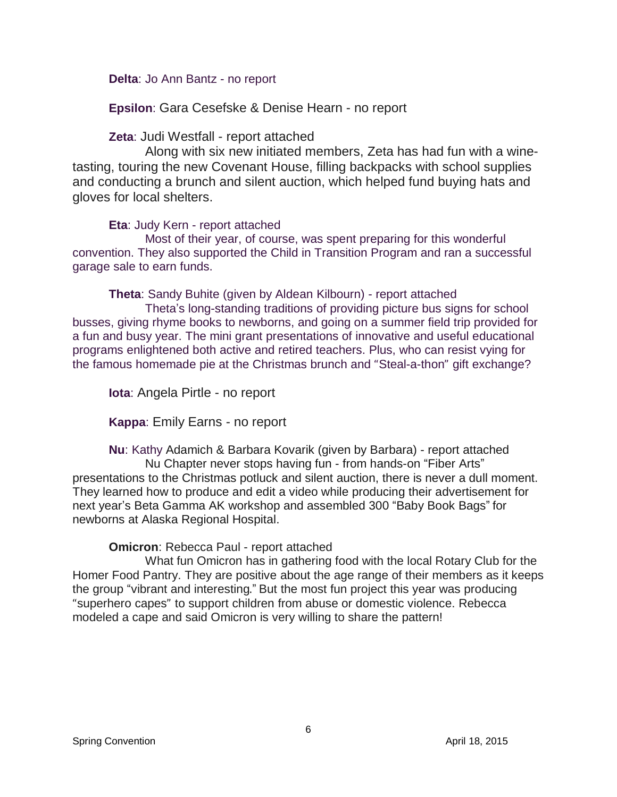**Delta**: Jo Ann Bantz - no report

**Epsilon**: Gara Cesefske & Denise Hearn - no report

**Zeta**: Judi Westfall - report attached

Along with six new initiated members, Zeta has had fun with a winetasting, touring the new Covenant House, filling backpacks with school supplies and conducting a brunch and silent auction, which helped fund buying hats and gloves for local shelters.

**Eta**: Judy Kern - report attached

Most of their year, of course, was spent preparing for this wonderful convention. They also supported the Child in Transition Program and ran a successful garage sale to earn funds.

**Theta**: Sandy Buhite (given by Aldean Kilbourn) - report attached Theta's long-standing traditions of providing picture bus signs for school

busses, giving rhyme books to newborns, and going on a summer field trip provided for a fun and busy year. The mini grant presentations of innovative and useful educational programs enlightened both active and retired teachers. Plus, who can resist vying for the famous homemade pie at the Christmas brunch and "Steal-a-thon" gift exchange?

**Iota**: Angela Pirtle - no report

**Kappa**: Emily Earns - no report

**Nu**: Kathy Adamich & Barbara Kovarik (given by Barbara) - report attached Nu Chapter never stops having fun - from hands-on "Fiber Arts" presentations to the Christmas potluck and silent auction, there is never a dull moment. They learned how to produce and edit a video while producing their advertisement for next year's Beta Gamma AK workshop and assembled 300 "Baby Book Bags" for newborns at Alaska Regional Hospital.

**Omicron**: Rebecca Paul - report attached

What fun Omicron has in gathering food with the local Rotary Club for the Homer Food Pantry. They are positive about the age range of their members as it keeps the group "vibrant and interesting." But the most fun project this year was producing "superhero capes" to support children from abuse or domestic violence. Rebecca modeled a cape and said Omicron is very willing to share the pattern!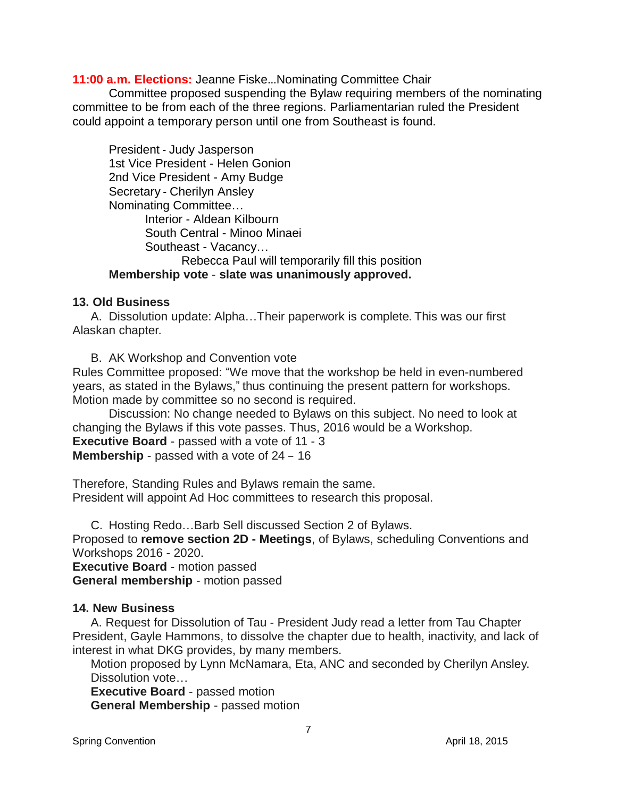**11:00 a.m. Elections:** Jeanne Fiske…Nominating Committee Chair

Committee proposed suspending the Bylaw requiring members of the nominating committee to be from each of the three regions. Parliamentarian ruled the President could appoint a temporary person until one from Southeast is found.

President - Judy Jasperson 1st Vice President - Helen Gonion 2nd Vice President - Amy Budge Secretary - Cherilyn Ansley Nominating Committee… Interior - Aldean Kilbourn South Central - Minoo Minaei Southeast - Vacancy… Rebecca Paul will temporarily fill this position **Membership vote** - **slate was unanimously approved.**

### **13. Old Business**

A. Dissolution update: Alpha…Their paperwork is complete. This was our first Alaskan chapter.

B. AK Workshop and Convention vote

Rules Committee proposed: "We move that the workshop be held in even-numbered years, as stated in the Bylaws," thus continuing the present pattern for workshops. Motion made by committee so no second is required.

Discussion: No change needed to Bylaws on this subject. No need to look at changing the Bylaws if this vote passes. Thus, 2016 would be a Workshop. **Executive Board** - passed with a vote of 11 - 3 **Membership** - passed with a vote of 24 – 16

Therefore, Standing Rules and Bylaws remain the same. President will appoint Ad Hoc committees to research this proposal.

C. Hosting Redo…Barb Sell discussed Section 2 of Bylaws.

Proposed to **remove section 2D - Meetings**, of Bylaws, scheduling Conventions and Workshops 2016 - 2020.

**Executive Board** - motion passed **General membership** - motion passed

## **14. New Business**

A. Request for Dissolution of Tau - President Judy read a letter from Tau Chapter President, Gayle Hammons, to dissolve the chapter due to health, inactivity, and lack of interest in what DKG provides, by many members.

Motion proposed by Lynn McNamara, Eta, ANC and seconded by Cherilyn Ansley. Dissolution vote…

**Executive Board** - passed motion **General Membership** - passed motion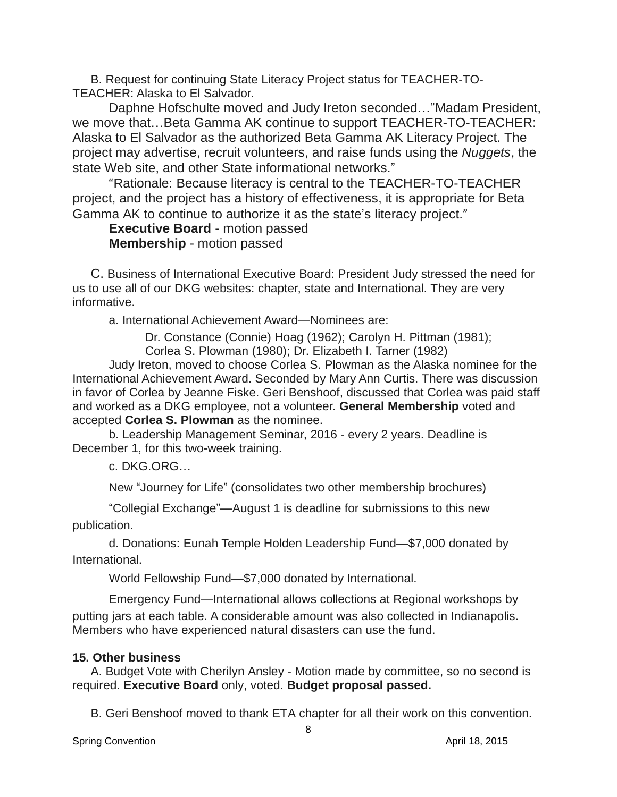B. Request for continuing State Literacy Project status for TEACHER-TO-TEACHER: Alaska to El Salvador.

Daphne Hofschulte moved and Judy Ireton seconded…"Madam President, we move that…Beta Gamma AK continue to support TEACHER-TO-TEACHER: Alaska to El Salvador as the authorized Beta Gamma AK Literacy Project. The project may advertise, recruit volunteers, and raise funds using the *Nuggets*, the state Web site, and other State informational networks."

"Rationale: Because literacy is central to the TEACHER-TO-TEACHER project, and the project has a history of effectiveness, it is appropriate for Beta Gamma AK to continue to authorize it as the state's literacy project."

## **Executive Board** - motion passed **Membership** - motion passed

C. Business of International Executive Board: President Judy stressed the need for us to use all of our DKG websites: chapter, state and International. They are very informative.

a. International Achievement Award—Nominees are:

Dr. Constance (Connie) Hoag (1962); Carolyn H. Pittman (1981);

Corlea S. Plowman (1980); Dr. Elizabeth I. Tarner (1982)

Judy Ireton, moved to choose Corlea S. Plowman as the Alaska nominee for the International Achievement Award. Seconded by Mary Ann Curtis. There was discussion in favor of Corlea by Jeanne Fiske. Geri Benshoof, discussed that Corlea was paid staff and worked as a DKG employee, not a volunteer. **General Membership** voted and accepted **Corlea S. Plowman** as the nominee.

b. Leadership Management Seminar, 2016 - every 2 years. Deadline is December 1, for this two-week training.

c. DKG.ORG…

New "Journey for Life" (consolidates two other membership brochures)

"Collegial Exchange"—August 1 is deadline for submissions to this new publication.

d. Donations: Eunah Temple Holden Leadership Fund—\$7,000 donated by International.

World Fellowship Fund—\$7,000 donated by International.

Emergency Fund—International allows collections at Regional workshops by putting jars at each table. A considerable amount was also collected in Indianapolis. Members who have experienced natural disasters can use the fund.

## **15. Other business**

A. Budget Vote with Cherilyn Ansley - Motion made by committee, so no second is required. **Executive Board** only, voted. **Budget proposal passed.**

B. Geri Benshoof moved to thank ETA chapter for all their work on this convention.